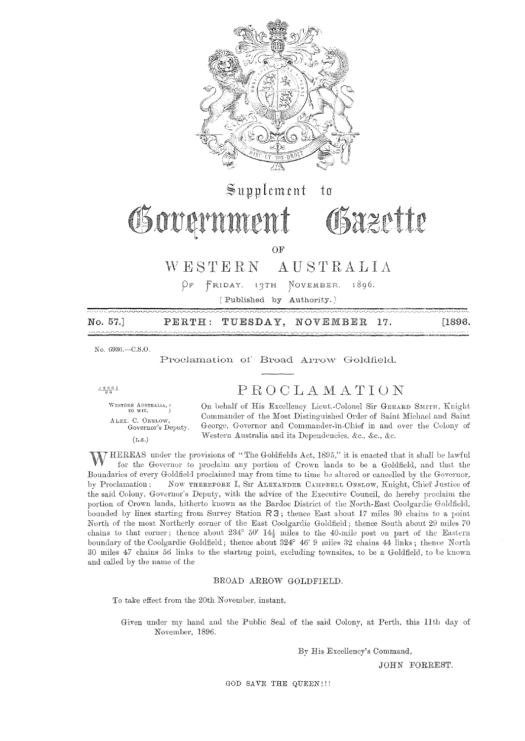

 $\mathbb{S}$ upplement  $t$ n

Government Bazette

OF

#### AUSTRALIA  $W E S T E R N$

OF FRIDAY, 19TH NOVEMBER,  $1896$ 

[Published by Authority.]

 $[1896.$ No. 57. TUESDAY, NOVEMBER PERTH: 17.

No. 6936.-C.S.O.

### Proclamation of Broad Arrow Goldfield.

 $12861$ 

# PROCLAMATION

WESTERN AUSTRALIA, ALEX. C. ONSLOW, Governor's Deputy.  $(L.S.)$ 

On behalf of His Excellency Lieut.-Colonel Sir GERARD SMITH, Knight Commander of the Most Distinguished Order of Saint Michael and Saint George, Governor and Commander-in-Chief in and over the Colony of Western Australia and its Dependencies, &c., &c., &c.

HEREAS under the provisions of "The Goldfields Act, 1895," it is enacted that it shall be lawful for the Governor to proclaim any portion of Crown lands to be a Goldfield, and that the Boundaries of every Goldfield proclaimed may from time to time be altered or cancelled by the Governor, by Proclamation: NOW THEREFORE I, Sir ALEXANDER CAMPBELL ONSLOW, Knight, Chief Justice of the said Colony, Governor's Deputy, with the advice of the Executive Council, do hereby proclaim the portion of Crown lands, hitherto known as the Bardoc District of the North-East Coolgardie Goldfield, bounded by lines starting from Survey Station R3; thence East about 17 miles 30 chains to a point North of the most Northerly corner of the East Coolgardie Goldfield; thence South about 29 miles 70 chains to that corner; thence about 234° 50′ 14 $\frac{1}{2}$  miles to the 40-mile post on part of the Eastern boundary of the Coolgardie Goldfield; thence about 324° 46' 9 miles 32 chains 44 links; thence North 30 miles 47 chains 56 links to the starting point, excluding townsites, to be a Goldfield, to be known and called by the name of the

#### BROAD ARROW GOLDFIELD.

To take effect from the 20th November, instant.

Given under my hand and the Public Seal of the said Colony, at Perth, this 11th day of November, 1896.

By His Excellency's Command,

JOHN FORREST.

GOD SAVE THE QUEEN!!!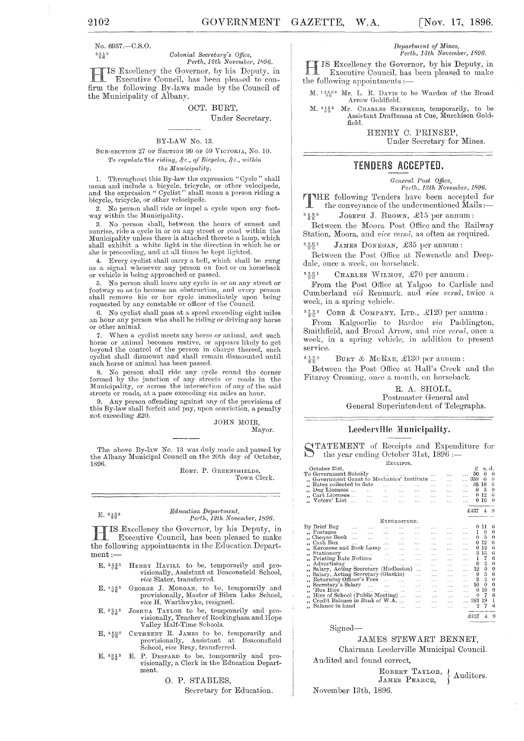No. 6937 .- C.S.O.  $3\frac{3}{9}\frac{1}{6}3$ 

Colonial Secretary's Office, Perth, 12th November, 1896.

IS Excellency the Governor, by his Deputy, in Executive Council, has been pleased to confirm the following By-laws made by the Council of the Municipality of Albany.

### OCT. BURT,

Under Secretary.

#### BY-LAW No. 13.

#### SUB-SECTION 27 OF SECTION 99 OF 59 VICTORIA, No. 10. To regulate the riding, &c., of Bicycles, &c., within the Municipality.

1. Throughout this By-law the expression "Cycle" shall r. Throughout ones by take the expression "object" shadow and the expression "Cyclist" shall mean a person riding a bicycle, tricycle, or other velocipede.

2. No person shall ride or impel a cycle upon any footway within the Municipality.

3. No person shall, between the hours of sunset and<br>sunrise, ride a cycle in or on any street or road within the<br>Municipality unless there is attached thereto a lamp, which<br>shall exhibit a white light in the direction in w she is proceeding, and at all times be kept lighted.

4. Every cyclist shall carry a bell, which shall be rung<br>as a signal whenever any person on foot or on horseback<br>or vehicle is being approached or passed.

5. No person shall leave any cycle in or on any street or footway so as to become an obstruction, and every person shall remove his or her cycle immediately upon being requested by any constable or officer of the Council.

6. No cyclist shall pass at a speed exceeding eight miles an hour any person who shall be riding or driving any horse or other animal.

7. When a cyclist meets any horse or animal, and such horse or animal becomes restive, or appears likely to get<br>beyond the control of the person in charge thereof, such cyclist shall dismount and shall remain dismounted until such horse or animal has been passed.

8. No person shall ride any cycle round the corner formed by the junction of any streets or roads in the Municipality, or across the intersection of any of the said streets or roads, at a pace exceeding six miles an hour.

9. Any person offending against any of the provisions of this By-law shall forfeit and pay, upon conviction, a penalty not exceeding £20.

JOHN MOIR, Mayor.

The above By-law No. 13 was duly made and passed by the Albany Municipal Council on the 20th day of October, 1896.

> ROBT. P. GREENSHIELDS Town Clerk.

#### $E. 6\frac{13}{96}5$

#### Education Department, Perth, 12th November, 1896.

IS Excellency the Governor, by his Deputy, in Executive Council, has been pleased to make the following appointments in the Education Depart $ment:$ 

- $\rm H_{ENRY}$  Havitat to be, temporarily and provisionally, Assistant at Beaconsfield School,  $E. \ \frac{5.3.2}{9.6}$ vice Slater, transferred.
- GEORGE J. MORGAN, to be, temporarily and  $E. \ \frac{4585}{96}$ provisionally, Master of Bibra Lake School, vice H. Warthwyke, resigned.
- JOSHUA TAYLOR to be, temporarily and pro- $E. \frac{52*}{90}$ visionally, Teacher of Rockingham and Hope<br>Valley Half-Time Schools.
- E.  $5\frac{50}{96}$  CUTHBERT R. JAMES to be, temporarily and provisionally, Assistant at Beaconsfield School, vice Bray, transferred.
- E.  $s_{\frac{3}{96}^3}$  E. P. DESPARD to be, temporarily and provisionally, a Clerk in the Education Department.

O. P. STABLES,

Secretary for Education.

#### Department of Mines, Perth, 14th November, 1896.

IS Excellency the Governor, by his Deputy, in Executive Council, has been pleased to make the following appointments :-

M.  $\frac{12.862}{9.6}$  Mr. L. R. Davis to be Warden of the Broad Arrow Goldfield.

Mr. CHARLES SHEPHERD, temporarily, to be<br>Assistant Draftsman at Cue, Murchison Gold- $M. \ \frac{815}{95}$ <sup>5</sup> field.

> HENRY C. PRINSEP, Under Secretary for Mines.

## TENDERS ACCEPTED.

#### General Post Office,

Perth, 13th November, 1896. THE following Tenders have been accepted for the conveyance of the undermentioned Mails:-

 $\frac{49}{06}$  5 JOSEPH J. BROWN, £15 per annum: Between the Moora Post Office and the Railway Station, Moora, and *vice versa*, as often as required.

 $5901$ JAMES DONEGAN, £35 per annum:

Between the Post Office at Newcastle and Deepdale, once a week, on horseback.

 $5.30.1$ CHARLES WILMOT, £70 per annum:

From the Post Office at Yalgoo to Carlisle and Cumberland vid Renmark, and vice versa, twice a week, in a spring vehicle.

 $5\frac{752}{96}$  COBB & COMPANY, LTD., £120 per annum :

From Kalgoorlie to Bardoe via Paddington, Smithfield, and Broad Arrow, and vice versa, once a week, in a spring vehicle, in addition to present service.

 $5 \frac{1}{2} \frac{3}{2} 9$ BURT & McRAE, £130 per annum :

Between the Post Office at Hall's Creek and the Fitzroy Crossing, once a month, on horseback.

> R. A. SHOLL, Postmaster General and General Superintendent of Telegraphs.

#### Leederville Municipality.

**ITATEMENT** of Receipts and Expenditure for the year ending October 31st, 1896 :-

|                                              |                                                                 |                      |                      | 1720DILID.        |           |                      |           |      |                         |          |
|----------------------------------------------|-----------------------------------------------------------------|----------------------|----------------------|-------------------|-----------|----------------------|-----------|------|-------------------------|----------|
| October 31st.                                |                                                                 |                      |                      |                   |           |                      |           | £    | s.                      | d.       |
| To Government Subsidy                        |                                                                 |                      | $\sim$ $\sim$ $\sim$ | $\cdots$          |           |                      |           | 50   | $\Omega$                | $_{0}$   |
| Government Grant to Mechanics' Institute     |                                                                 |                      |                      |                   |           |                      | $\cdots$  | 350  | 0                       | 0        |
| Rates collected to date                      |                                                                 |                      | $\mathbf{r}$         |                   |           |                      | $\cdots$  | 35   | 18                      | 6        |
| Dog Licenses                                 | <b>Contractor</b>                                               |                      | $\rightarrow$        | $\cdots$          | $\cdots$  | $\cdots$             | .         | 0    | 3                       | 9        |
| Cart Licenses                                |                                                                 | $\cdots$             | $\cdots$             | $\sim$ 4 $\times$ | 5.5.4     | $\cdots$             | .         | 0    | 12                      | 6        |
| Voters' List                                 | $\sim$                                                          |                      | $\sim$               |                   |           |                      | وباد      | 0    | 10                      | $\theta$ |
|                                              |                                                                 |                      |                      |                   |           |                      |           |      |                         |          |
|                                              |                                                                 |                      |                      |                   |           |                      |           | £437 |                         | 9        |
|                                              |                                                                 |                      |                      |                   |           |                      |           |      |                         |          |
|                                              |                                                                 |                      | EXPENDITURE.         |                   |           |                      |           |      |                         |          |
| By Brief Bag                                 | $\sim$ $\sim$                                                   | $\cdots$             |                      | 1.1.7             | $\cdots$  |                      |           | 0    | 11                      | 6        |
| Postages                                     | $\sim$                                                          | .                    | $\cdots$             | $\cdots$          | $\cdots$  | $\cdots$             |           | Ŧ    | 0                       | $\theta$ |
| Cheque Book                                  |                                                                 | $\cdots$             | $\sim$               | $\sim$            | $\ddotsc$ | $\cdots$             | $\ddotsc$ | 0    | 5                       | 0        |
| Cash Box<br>,,                               | $\cdots$                                                        | <b>Sales Control</b> | $\cdots$             | $\cdots$          | .         | $\ddot{\phantom{a}}$ | .         | 0    | 12                      | 6        |
| Kerosene and Back Lamp                       |                                                                 |                      |                      | $\cdots$          | ÷.        | $\cdots$             | $\ddotsc$ | 0    | 12                      | 6        |
| Stationery<br>, ,                            |                                                                 | and the same state   |                      | $\cdots$          | $\cdots$  | $\cdots$             | $\cdots$  | 3    | 15                      | 6        |
| Printing Rate Notices<br>,,                  |                                                                 |                      | $\mathbf{r}$         | $\cdots$          | .         |                      |           | ı    | 7                       | 6        |
| Advertising                                  | $\mathbf{1}$ and $\mathbf{1}$ and $\mathbf{1}$ and $\mathbf{1}$ |                      | $\sim$ $\sim$ $\sim$ | $\cdots$          | $\cdots$  |                      |           | 8    | 2                       | 0        |
| Salary, Acting Secretary (Hudleston)         |                                                                 |                      |                      |                   | $\cdots$  |                      |           | 12   | 0                       | $\theta$ |
| Salary, Acting Secretary (Glaskin)<br>$, \,$ |                                                                 |                      |                      |                   | .         | $\cdots$             |           | 9    | 5                       | 6        |
| Returning Officer's Fees                     |                                                                 |                      |                      | $\ddotsc$         | .         | $\cdots$             |           |      | $\overline{\mathbf{2}}$ | $\theta$ |
| Secretary's Salary<br>,,                     |                                                                 |                      |                      | $\ddotsc$         | .         |                      |           | 10   | 0                       | $\theta$ |
| Bus Hire<br>,,                               | the committee of the com-                                       |                      | $\cdots$             | $\sim$            | .         |                      | .         | 0    | 16                      | 8        |
| Hire of School (Public Meeting)              |                                                                 |                      |                      |                   |           |                      |           | 0    | 7                       | 6        |
| Credit Balance in Bank of W.A.               |                                                                 |                      |                      |                   |           |                      |           | 383  | 19                      | 1        |
| Balance in hand                              |                                                                 |                      |                      | $\cdots$          |           |                      |           | 2    | 7                       | 6        |
|                                              |                                                                 |                      |                      |                   |           |                      |           |      |                         |          |

#### Signed-

JAMES STEWART BENNET, Chairman Leederville Municipal Council.

£437 4 9

Audited and found correct, ROBERT TAYLOR,

 $\left\{$  Auditors. JAMES PEARCE, November 13th, 1896.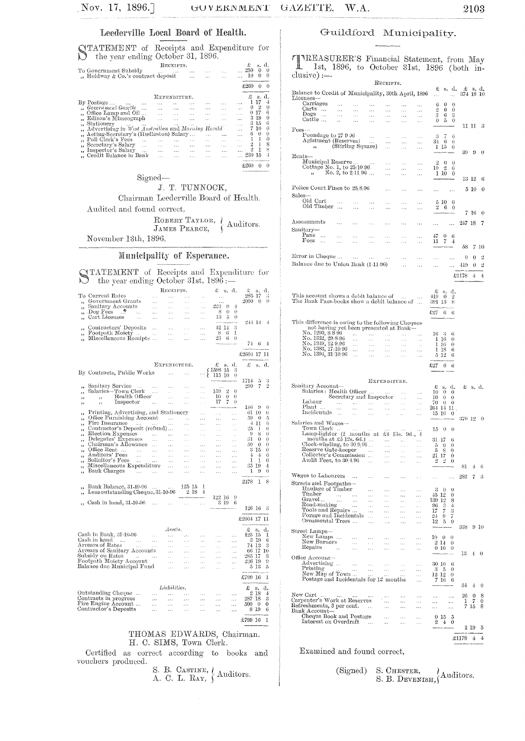### Leederville Local Board of Health.

STATEMENT of Receipts and Expenditure for the year ending October 31, 1896. RECEIPTS.  $\pounds^-$ s. d.

|                      | To Government Subsidy<br>" Holdway & Co.'s contract deposit |          |              | $\cdots$ | $\mathbf{r}$<br>$\cdots$ |   | $\ldots$ 250<br>0<br>$\theta$<br>$^{\circ}$<br>10<br>0 |
|----------------------|-------------------------------------------------------------|----------|--------------|----------|--------------------------|---|--------------------------------------------------------|
|                      |                                                             |          |              |          |                          |   | £260<br>- 0<br>0<br>________                           |
|                      |                                                             |          | Expenditure. |          |                          |   | £<br>s. d.                                             |
|                      | By Postage                                                  |          |              |          |                          |   | 17<br>4<br>$\ddotsc$                                   |
|                      | Government Gazette                                          |          | $\cdots$     | $\cdots$ |                          |   | 0<br>-2<br>0<br>1.9.1                                  |
| $\ddot{\phantom{a}}$ | Office Lamp and Oil                                         | $\cdots$ |              | $\cdots$ | $\cdots$                 | . | -17<br>6<br>0<br>$\sim$                                |
|                      | Edison's Mimeograph                                         | i i i    |              | $\cdots$ |                          |   | -18<br>$^{(+)}$<br>з<br>$\cdots$                       |
| $\ddot{\phantom{1}}$ | Stationery                                                  | $\sim$   |              | $\cdots$ | $\sim 100$               |   | 6<br>15<br>З<br>$\sim$                                 |
|                      | ", Advertising in West Australian and Morning Herald        |          |              |          |                          |   | 7 10<br>$\Omega$<br>$\sim$                             |
|                      | Acting-Secretary's (Hudleston) Salary                       |          |              |          |                          |   | 0<br>6<br>$\Omega$<br>$\cdots$                         |
|                      | Poll Clerk's Fees                                           |          |              |          |                          |   | 1<br>0                                                 |
|                      | ,, Secretary's Salary<br>$\cdots$                           |          |              |          |                          |   | 8<br>2                                                 |
|                      | ,, Inspector's Salary<br>$\cdots$                           | .        |              |          |                          |   | 8<br>$\mathbf{1}$<br>2                                 |
|                      | "Credit Balance in Bank                                     |          |              |          |                          |   | 230 15                                                 |
|                      |                                                             |          |              |          |                          |   | .£260<br>$\Omega$<br>0                                 |

### Signed-

J. T. TUNNOCK,

Chairman Leederville Board of Health. Audited and found correct,

 $\begin{array}{l} \textsc{Roberer Tarior},\ \backslash \ \textsc{Auditors}. \\ \textsc{James Peance}, \end{array}$ 

November 13th, 1896.

## Municipality of Esperance.

|                      | (TATEMENT of Receipts and Expenditure for<br>the year ending October 31st, $1896:$ — |                      |                      |                                   |                          |                     |                                                   |                        |          |                |
|----------------------|--------------------------------------------------------------------------------------|----------------------|----------------------|-----------------------------------|--------------------------|---------------------|---------------------------------------------------|------------------------|----------|----------------|
|                      |                                                                                      |                      | RECEIPTS.            |                                   |                          |                     |                                                   |                        |          |                |
|                      | To Current Rates                                                                     |                      |                      |                                   |                          | £                   | s. d.                                             | $\pounds$ s.<br>285 17 |          | d.<br>- 3      |
|                      | Government Grants                                                                    | $\sim$ $\sim$ $\sim$ | $\sim$ .             | $\cdots$                          | $\sim$                   | $\cdots$            |                                                   | $2000 - 0$             |          | $\theta$       |
| ,,                   |                                                                                      | $\cdots$             | $\sim$               | $\cdots$                          | $\sim$                   | 223                 | $\Omega$<br>4                                     |                        |          |                |
| ,,                   | Sanitary Accounts<br>$\log$ Fees $\therefore$                                        | $\sim$               | $\ddotsc$<br>$\sim$  | $\sim$ $\sim$ $\sim$<br>$\ddotsc$ | $\cdots$                 | -8                  | $\theta$<br>0                                     |                        |          |                |
| $\ddot{\phantom{0}}$ | $\sim$ 100 $\sim$<br>Cart Licenses                                                   | $\bar{\mathcal{L}}$  |                      |                                   | $\sim$                   | 13                  | 5<br>0                                            |                        |          |                |
| ż,                   | $\sim$ .                                                                             | $\cdots$             | $\sim$ $\sim$ $\sim$ | $\ddotsc$                         | $\sim$ $\sim$ $\sim$     | and can             | à.                                                | 244 14                 |          | $\frac{1}{2}$  |
|                      | Contractors' Deposits                                                                |                      |                      | $\sim$ $\sim$                     | $\sim$ $\sim$ $\sim$     | 42 14               | 3                                                 |                        |          |                |
| ,,                   | Footpath Moiety                                                                      | u.                   | $\cdots$             | $\sim$                            | $\cdots$                 | -8-6                | 1                                                 |                        |          |                |
| ,                    | Miscellaneous Receipts                                                               |                      | $\sim$ .             | $\cdots$                          | $\ddotsc$                | 23                  | - 6<br>$\theta$                                   |                        |          |                |
| ,,                   |                                                                                      |                      |                      |                                   |                          |                     | <b>Contract advances as a series of the state</b> | 74                     | 6        | $\cdot$ 4      |
|                      |                                                                                      |                      |                      |                                   |                          |                     |                                                   |                        |          |                |
|                      |                                                                                      |                      |                      |                                   |                          |                     |                                                   | £2604 17 11            |          |                |
|                      |                                                                                      |                      |                      |                                   |                          |                     |                                                   |                        |          |                |
|                      |                                                                                      |                      | EXPENDITURE.         |                                   |                          | Æ                   | ₫.<br>s.                                          | Ŀ                      | s.       | đ.             |
|                      |                                                                                      |                      |                      |                                   |                          | (1598–15            | -3                                                |                        |          |                |
|                      | By Contracts, Public Works                                                           |                      | $\cdots$             |                                   |                          | 115 10              | 0                                                 |                        |          |                |
|                      |                                                                                      |                      |                      |                                   |                          |                     | مسم                                               | 1714                   | õ        | 3              |
|                      | Sanitary Service<br>$\cdots$                                                         | $\cdots$             | $\sim$               | $\sim$                            | $\sim$                   |                     |                                                   | 290                    | 7        | $\overline{2}$ |
| ,,                   | Salaries—Town Clerk                                                                  | $\ldots$             | $\sim$ .             | $\bar{z}$ .                       | .                        | 159 -               | 2<br>$\theta$                                     |                        |          |                |
| ,,                   | Health Officer<br>,,                                                                 |                      | $\ddotsc$            | $\cdots$                          | $\mathbf{r}$             | 10                  | 0<br>0                                            |                        |          |                |
| ,,                   | Inspector<br>,,                                                                      | $\sim$ .             | $\cdots$             | وبريا                             |                          | 17                  | 7<br>0                                            |                        |          |                |
|                      |                                                                                      |                      |                      |                                   |                          | .                   | a concert come                                    | 186                    | 9        | 0              |
| ,,                   | Printing, Advertising, and Stationery                                                |                      |                      |                                   | $\cdots$                 | $\cdots$            | $\cdots$                                          | 61                     | 10       | 6              |
| $^{\prime}$          | Office Furnishing Account                                                            |                      |                      | $\sim$                            | $\ldots$                 | $\ddotsc$           | $\ddotsc$                                         | 59                     | $^{()}$  | 5              |
| ,,                   | Fire Insurance                                                                       |                      | $\cdots$             | $\mathbf{r}$                      | $\cdots$                 | $\cdots$            | $\sim$ $\sim$                                     | -4                     | 11       | 6              |
| ٠,                   | Contractor's Deposit (refund)                                                        |                      |                      | $\cdots$                          | $\sim$                   | $\sim$              | $\sim$                                            | 25                     | 1        | 6              |
| ,,                   | Election Expenses                                                                    |                      | $\sim 100$ and       | $\cdots$                          | $\cdots$                 | $\bar{\mathcal{L}}$ | $\bar{L}$                                         | -9                     | 8        | 0              |
| ,,                   | Delegates' Expenses                                                                  | $\ddotsc$            | $\sim$               | $\cdots$                          | $\sim$                   | $\cdots$            | i.                                                | 31                     | 0        | 0              |
| ,,                   | Chairman's Allowance                                                                 |                      | $\ldots$             | $\sim$                            | $\overline{\phantom{a}}$ | .                   | $\sim$                                            | 50                     | 0        | 0              |
| ,,                   | Office Rent                                                                          |                      | $\cdots$             | $\mathbf{r}$ .                    | $\cdots$                 | $\cdots$            | $\cdots$                                          | 315                    |          | 0              |
| ,,                   | Auditors' Fees<br>$\ldots$                                                           | $\sim$ .             | $\ldots$             | $\ddotsc$                         | $\cdots$                 | .                   | .                                                 | $\pm$                  | 4        | 0              |
| ,,                   | Solicitor's Fees<br>$\sim$                                                           | $\ldots$             | $\ldots$             | $\cdots$                          | $\cdots$                 | $\cdots$            | $\cdots$                                          | -1                     | 1        | 0              |
| ,,                   | Miscellaneous Expenditure                                                            |                      | $\ddotsc$            | $\sim 100$                        | $\cdots$                 | .                   | .                                                 | 35 I9                  |          | 4              |
| ,,                   | Bank Charges                                                                         |                      | $\ldots$             |                                   | .                        | $\cdots$            | .                                                 | 1                      | 9        | 0              |
|                      |                                                                                      |                      |                      |                                   |                          |                     |                                                   |                        |          |                |
|                      |                                                                                      |                      |                      | 125 15                            | Ŧ                        |                     |                                                   | 2178                   | 1        | 8              |
| ,,                   | Bank Balance, 31-10-96<br>Less outstanding Cheque, 31-10-96                          |                      |                      | $-2.18$                           | $-4$                     |                     |                                                   |                        |          |                |
|                      |                                                                                      |                      |                      |                                   |                          | 122 16              | 9                                                 |                        |          |                |
|                      | Cash in hand, 31-10-96 -                                                             | $\cdots$             |                      |                                   | $\sim$                   |                     | 3 19<br>6                                         |                        |          |                |
|                      |                                                                                      |                      |                      |                                   |                          |                     |                                                   | $126\ \ 16$            |          | 3              |
|                      |                                                                                      |                      |                      |                                   |                          |                     |                                                   |                        |          |                |
|                      |                                                                                      |                      |                      |                                   |                          |                     |                                                   | £2604 17 11            |          |                |
|                      |                                                                                      |                      |                      |                                   |                          |                     |                                                   |                        |          |                |
|                      |                                                                                      |                      | $A$ ssels.           |                                   |                          |                     |                                                   | £                      | S.       | đ.             |
|                      | Cash in Bank, 31-10-96 –                                                             | $\sim$ $\sim$        | $\ldots$             | $\ldots$                          | $\cdots$                 | $\sim$ $\sim$       | $\ddotsc$                                         | 125 15                 |          | 1              |
|                      | Cash in hand                                                                         | $\sim$ . $\sim$      | $\ddotsc$            | $\sim$                            | $\sim$                   | $\sim$              | $\cdots$                                          | - 3-19                 |          | 6              |
|                      | Arrears of Rates<br>$\sim 10^{-1}$                                                   | $\sim$ $\sim$        | $\cdots$             | $\sim$ $\sim$ $\sim$              | $\ldots$                 | $\sim$              | $\cdots$                                          | 74 13                  |          | 3              |
|                      | Arrears of Sanitary Accounts                                                         |                      | $\cdots$             | $\mathbf{r}$                      | i vi                     | i si                | $\cdots$                                          | 66 17                  |          | 10             |
|                      | Subsidy on Rates<br><b>Contractor</b>                                                |                      | $\sim$               | $\sim$ $\sim$                     | $\sim$ $\sim$            | $\ldots$            | $\ldots$                                          | 285 17                 |          | 3              |
|                      | Footpath Moiety Account                                                              |                      | $\sim$               | $\ddotsc$                         | $\cdots$                 | i sa                | i.                                                | 236 19                 |          | 9              |
|                      | Balauce due Municipal Fund                                                           |                      | $\bar{\nu}$ .        | $\mathbf{r}$                      | $\sim$                   | $\cdots$            | à.                                                | 5 13                   |          | 5              |
|                      |                                                                                      |                      |                      |                                   |                          |                     |                                                   |                        |          |                |
|                      |                                                                                      |                      |                      |                                   |                          |                     |                                                   | £799 16                |          | 1              |
|                      |                                                                                      |                      |                      |                                   |                          |                     |                                                   |                        |          |                |
|                      |                                                                                      |                      | Liabilities.         |                                   |                          |                     |                                                   | £                      | s.       | d.             |
|                      | Outstanding Cheque                                                                   | $\cdots$             | $\cdots$             | $\sim$ $\sim$                     | $\sim$ $\sim$            | $\cdots$            | $\cdots$                                          | 2 18                   |          | 4              |
|                      | Contracts in progress                                                                | $\ldots$             | $\ldots$             | $\cdots$                          | $\ddotsc$                | $\cdots$            | $\cdots$                                          | 287                    | 18       | 3              |
|                      | Fire Engine Account                                                                  | $\ddotsc$            | $\cdots$             | $\ldots$                          | $\cdots$                 | $\ddotsc$           | $\ddotsc$                                         | 500                    | $\bf{0}$ | 0              |
|                      | Contractor's Deposits                                                                | $\cdots$             | $\ldots$             | $\sim$                            | .                        | $\cdots$            | .                                                 | 8 19                   |          | 6              |
|                      |                                                                                      |                      |                      |                                   |                          |                     |                                                   |                        |          |                |
|                      |                                                                                      |                      |                      |                                   |                          |                     |                                                   | £799 16                |          | 1              |

THOMAS EDWARDS, Chairman.<br>H. C. SIMS, Town Clerk.

Certified as correct according to books and vouchers produced.

S. B. CASTINE,  $\Big\{$  Auditors. A. C. L. Ray,  $\Big\}$ 

## Guildford Municipality.

TIREASURER'S Financial Statement, from May<br>1st, 1896, to October 31st, 1896 (both inclusive) : $\stackrel{\cdot}{\phantom{\cdot}\text{--}}$ 

|                                                                                                                                                                                        |                                           |                                     |                                           | RECEIPTS.                                                      |                                                                |                                  |                     |                    |                      |           |                   |        |
|----------------------------------------------------------------------------------------------------------------------------------------------------------------------------------------|-------------------------------------------|-------------------------------------|-------------------------------------------|----------------------------------------------------------------|----------------------------------------------------------------|----------------------------------|---------------------|--------------------|----------------------|-----------|-------------------|--------|
| Balance to Credit of Municipality, 30th April, 1896                                                                                                                                    |                                           |                                     |                                           |                                                                |                                                                |                                  | £<br>$\cdots$       |                    | s. d.<br>$\ddotsc$   | 374 18 10 | £ s.d.            |        |
| $_{\rm Lieenses-}$                                                                                                                                                                     |                                           |                                     |                                           |                                                                |                                                                |                                  |                     |                    |                      |           |                   |        |
| Carriages<br>Carts                                                                                                                                                                     | $\cdots$<br>$\mathbf{r}$ and $\mathbf{r}$ | $\cdots$<br>$\ldots$                | $\cdots$<br>$\ldots$                      | $\ldots$<br>$\cdots$                                           | $\ddotsc$<br>$\cdots$                                          | $\cdots$<br>                     | 6<br>2              | 0<br>0             | 0<br>0               |           |                   |        |
| $_{\rm{Dogs}}$<br>$\ldots$<br>Cattle                                                                                                                                                   | .<br>$\ddot{\phantom{a}}$                 | $\ddotsc$<br>$\ldots$               | .<br>.                                    | $\ddotsc$<br>.                                                 | $\cdots$<br>$\ddotsc$                                          | i.<br>.                          | 3<br>0              | 6<br>5             | 3<br>0               |           |                   |        |
|                                                                                                                                                                                        |                                           |                                     |                                           |                                                                |                                                                |                                  |                     |                    |                      | 11 11     |                   | 3      |
| $_{\rm Fes-}$<br>Poundage to 27/9:36                                                                                                                                                   |                                           |                                     | $\sim 100$                                | $\cdots$                                                       | .                                                              | $\cdots$                         | 3                   | 7                  | 6                    |           |                   |        |
| Agistment (Reserves)                                                                                                                                                                   | (Stirling Square)                         |                                     | $\sim$                                    | $\cdots$                                                       | $\ldots$                                                       | $\ddotsc$                        | 34                  | 6                  | 6                    |           |                   |        |
|                                                                                                                                                                                        |                                           |                                     |                                           | .                                                              |                                                                | .                                | 1 15                |                    | 0                    | 39        | 9                 | 0      |
| $_{\rm{Rents-}}$<br>Municipal Reserve                                                                                                                                                  |                                           |                                     |                                           | $\ldots$                                                       | $\ddotsc$                                                      | $\cdots$                         | 2                   | 0                  | 0                    |           |                   |        |
| Cottage No. 1, to $25/10.96$<br>No. 2, to $2/11.96$                                                                                                                                    |                                           |                                     |                                           | $\ldots$                                                       |                                                                | $\ldots$                         | 10                  | 2                  | 6                    |           |                   |        |
|                                                                                                                                                                                        |                                           |                                     |                                           | $\cdots$                                                       | $\cdots$                                                       | .                                |                     | 110                | 0                    | 13 12     |                   | 6      |
| Police Court Fines to 25/8/96                                                                                                                                                          |                                           |                                     |                                           |                                                                |                                                                |                                  |                     |                    |                      |           |                   |        |
| Sales—                                                                                                                                                                                 |                                           |                                     |                                           | $\cdots$                                                       | $\ddotsc$                                                      | .                                | .                   |                    | $\ldots$             |           | $5\,10$           | 0      |
| Old Cart<br>Old Timber                                                                                                                                                                 | $\ldots$                                  |                                     | .                                         | $\ddotsc$                                                      | .                                                              | .                                |                     | 5 10               | 0                    |           |                   |        |
|                                                                                                                                                                                        | $\ddotsc$                                 | $\cdots$                            | .                                         | .                                                              | $\cdots$                                                       | .                                | 2                   | 6                  | 0                    |           | $7\hphantom{1}16$ | 0      |
| $_{\rm Assessments}$                                                                                                                                                                   |                                           |                                     |                                           |                                                                |                                                                |                                  |                     |                    |                      |           |                   |        |
| Sanitary—                                                                                                                                                                              |                                           |                                     | .                                         | $\ddotsc$                                                      | .                                                              |                                  | .                   |                    |                      | 247 18    |                   | 7      |
| $_{\rm{Pans}}$<br>$\ddotsc$                                                                                                                                                            | $\ddotsc$                                 | $\cdots$                            | .                                         | .                                                              | $\sim$                                                         | .                                | 47                  | 0                  | 6                    |           |                   |        |
| $_{\rm Fes}$<br>$\ddotsc$                                                                                                                                                              | $\cdots$                                  | $\ddotsc$                           |                                           |                                                                | .                                                              | $\ldots$                         | 11                  | 7                  | 4                    | 58        | 7                 | 10     |
| Error in Cheque                                                                                                                                                                        |                                           |                                     |                                           |                                                                |                                                                |                                  |                     |                    |                      |           |                   |        |
| Balance due to Union Bank (1/11/96)                                                                                                                                                    |                                           | $\ldots$                            | .                                         | $\cdots$                                                       | .                                                              | .                                | .                   |                    | .                    | 0         | 0                 | 2      |
|                                                                                                                                                                                        |                                           |                                     |                                           |                                                                | $\ldots$                                                       | .                                | $\cdots$            |                    |                      | $+19$     | 0                 | 2      |
|                                                                                                                                                                                        |                                           |                                     |                                           |                                                                |                                                                |                                  |                     |                    |                      | £1178     | 4                 | 4      |
|                                                                                                                                                                                        |                                           |                                     |                                           |                                                                |                                                                |                                  |                     |                    |                      |           |                   |        |
| This account shows a debit balance of                                                                                                                                                  |                                           |                                     |                                           |                                                                | $\sim$ $\sim$                                                  |                                  | £<br>419            | s,<br>$\theta$     | d,<br>$\overline{2}$ |           |                   |        |
| The Bank Pass-books show a debit balance of                                                                                                                                            |                                           |                                     |                                           |                                                                |                                                                | $\ldots$                         | 391 13              |                    | 8                    |           |                   |        |
|                                                                                                                                                                                        |                                           |                                     |                                           |                                                                |                                                                |                                  | $\varepsilon_{27}$  | 6                  | 6                    |           |                   |        |
| This difference is owing to the following Cheques                                                                                                                                      |                                           |                                     |                                           |                                                                |                                                                |                                  |                     |                    |                      |           |                   |        |
| ance incompared to the presented at Bank-<br>No. 1339, 98 96<br>No. 1349, 1998 and the state of the state of the state<br>No. 1349, 129,96<br>No. 1383, 17/10/96<br>No. 1389, 31/10/96 |                                           |                                     |                                           |                                                                |                                                                |                                  |                     |                    |                      |           |                   |        |
|                                                                                                                                                                                        |                                           |                                     |                                           |                                                                |                                                                | $\sim$ $\sim$<br>$\sim$          | 16<br>$1\,16$       | - 3                | 6<br>0               |           |                   |        |
|                                                                                                                                                                                        |                                           |                                     |                                           |                                                                |                                                                | $\sim$                           | 1 16                |                    | 0                    |           |                   |        |
|                                                                                                                                                                                        |                                           |                                     |                                           |                                                                |                                                                | $\ldots$<br>$\sim$ .             | $5\,12$             | 118                | 6<br>6               |           |                   |        |
|                                                                                                                                                                                        |                                           |                                     |                                           |                                                                |                                                                |                                  | £27                 |                    |                      |           |                   |        |
|                                                                                                                                                                                        |                                           |                                     |                                           |                                                                |                                                                |                                  |                     | 6                  | 6                    |           |                   |        |
|                                                                                                                                                                                        |                                           |                                     | EXPENDITURE.                              |                                                                |                                                                |                                  |                     |                    |                      |           |                   |        |
| Sanitary Account—                                                                                                                                                                      |                                           |                                     |                                           |                                                                |                                                                |                                  | Ŀ                   | s.                 | d.                   | Æ         | s. d.             |        |
| Salaries : Health Officer                                                                                                                                                              | Secretary and Inspector                   |                                     |                                           |                                                                | $\sim$ $\sim$ $\sim$<br>$\bar{\tau}$ .                         | $\cdots$<br>$\ldots$             | 10<br>10            | 0<br>0             | 0<br>0               |           |                   |        |
| Labour<br>Plant                                                                                                                                                                        |                                           |                                     | experimental construction and             |                                                                | $\bar{\mathcal{L}}$                                            | $\cdot$ .                        | 70<br>264 14 11     | 0                  | 0                    |           |                   |        |
| Incidentals                                                                                                                                                                            | $\sim$ .                                  | $\sim$<br>$\sim$ $\sim$             | in a<br>$\ldots$                          | s e c<br>$\sim$                                                | $\sim$ and<br>i.                                               | $\ddotsc$<br>$\cdots$            | 15 16               |                    | 0                    |           |                   |        |
| Salaries and Wages--                                                                                                                                                                   |                                           |                                     |                                           |                                                                |                                                                |                                  |                     |                    |                      | 370-12    |                   | 0      |
| Town Clerk                                                                                                                                                                             |                                           | $\sim$ $\sim$ $\sim$                |                                           |                                                                |                                                                |                                  | 15                  | 0                  | 0                    |           |                   |        |
| Lamp-lighter $(2 \text{ months at } 44 \text{ 13s. 9d., } 4$                                                                                                                           |                                           |                                     |                                           |                                                                | $\sim$ .                                                       | $\sim$ $\sim$                    | 31 17               |                    | 6                    |           |                   |        |
|                                                                                                                                                                                        |                                           |                                     |                                           |                                                                | $\sim$ .                                                       | $\cdots$                         | -5<br>5             | -0<br>$\mathbf{s}$ | 0<br>0               |           |                   |        |
| Collector's Commission                                                                                                                                                                 |                                           |                                     |                                           | $\sim$ . $\sim$                                                | $\sim$<br>$\sim$                                               | $\sim$ $\sim$<br>                | $21\,$ $17$         |                    | 0                    |           |                   |        |
| Audit Fees, to 30/4/96                                                                                                                                                                 |                                           |                                     | $\sim$ 100 $\mu$                          | $\ldots$                                                       | $\ldots$                                                       | š,                               | 2                   | 2                  | $\theta$             | 81        | Æ                 | 6      |
| Wages to Labourers                                                                                                                                                                     |                                           |                                     |                                           |                                                                |                                                                |                                  |                     |                    |                      |           |                   |        |
|                                                                                                                                                                                        |                                           |                                     | $\cdots$                                  | $\ddotsc$                                                      | $\cdots$                                                       | k.                               | $\ldots$            |                    |                      | 282       | 7                 | 3      |
| Streets and Footpaths—<br>Haulage of Timber                                                                                                                                            |                                           |                                     | $\cdots$                                  | $\mathcal{L}(\mathcal{L}(\mathcal{L}))$                        | $\sim$ .                                                       | $\ddotsc$                        | 3                   | 0                  | 0                    |           |                   |        |
| Timber<br>Gravel                                                                                                                                                                       | وموارد المحجرات                           |                                     | $\mathcal{L}_{\text{max}}$<br><b>SALE</b> | $\mathcal{L}(\mathcal{L}(\mathcal{L}))$<br>$\sim 10^{-1}$      | $\mathbf{r}$ , $\mathbf{r}$<br>$\sim 10^{-1}$                  | $\ldots$<br>$\sim$ $\sim$ $\sim$ | 45 12<br>139 12     |                    | 0<br>8               |           |                   |        |
| Gravel<br>Road-making<br>Tools and Repairs                                                                                                                                             |                                           |                                     | $\sim 10^{-11}$                           | $\sim 10^{-11}$                                                | $\mathcal{L}_{\text{max}}$                                     | $\epsilon$ .                     | 96                  | -3<br>7            | 4                    |           |                   |        |
| Forage and Incidentals                                                                                                                                                                 |                                           |                                     | $\sim 10^{-11}$                           | $\mathbf{z}$ , $\mathbf{z}$<br>$\mathcal{L}_{\text{max}}$      | $\mathcal{L}_{\mathcal{A}}(\mathcal{L}_{\mathcal{A}})$ .<br>W. | $\sim$ $\sim$<br>$\sim$          | 17<br>24            | 9                  | $\frac{3}{7}$        |           |                   |        |
| Ornamental Trees                                                                                                                                                                       |                                           |                                     |                                           | $\mathcal{L}_{\mathcal{F}}$ .                                  | $\mathcal{L}_{\mathcal{F}}$ .                                  | $\cdots$                         | 12                  | 5                  | 0                    | 338       |                   | 9 10   |
| Street Lamps—                                                                                                                                                                          |                                           |                                     |                                           |                                                                |                                                                |                                  |                     |                    |                      |           |                   |        |
| New Lamps<br>New Burners                                                                                                                                                               |                                           | $\frac{1}{2} \frac{d\phi}{d\phi}$ . | $\sim$<br>$\sim$ $\sim$                   | $\mathcal{L}_{\mathbf{A} \rightarrow \mathbf{B}}$<br>$\ddotsc$ | $\cdots$<br>$\sim 10^{-1}$                                     | .<br>$\ldots$                    | 100<br>214          |                    | $\theta$<br>0        |           |                   |        |
| Repairs                                                                                                                                                                                | $\ddot{\phantom{a}}$                      | $\sim$                              | $\ddotsc$                                 | $\cdots$                                                       | $\ddotsc$                                                      | $\ddotsc$                        | 010                 |                    | 0                    |           |                   |        |
| Office Account—                                                                                                                                                                        |                                           |                                     |                                           |                                                                |                                                                |                                  |                     |                    |                      | 13        | 4                 | 0      |
| Advertising<br>Printing                                                                                                                                                                |                                           | $\sim$<br>$\ldots$                  | $\ldots$<br>$\sim 10^{-1}$                | $\ldots$                                                       | $\sim$                                                         | $\ldots$                         | 30 10<br>$3\quad 5$ |                    | 6<br>0               |           |                   |        |
| New Map of Town                                                                                                                                                                        |                                           |                                     |                                           | $\ldots$ .<br>.                                                | $\sim$<br>$\cdots$                                             | $\cdots$<br>$\sim$ $\sim$ $\sim$ | $12\;12$            |                    | 0                    |           |                   |        |
| Postage and Incidentals for 12 months                                                                                                                                                  |                                           |                                     |                                           |                                                                |                                                                | $\cdots$                         | 7 16                |                    | 6                    | 54        | 4                 | 0      |
| New Cart                                                                                                                                                                               |                                           |                                     |                                           |                                                                |                                                                |                                  |                     |                    |                      |           |                   |        |
| Carpenter's Work at Reserves                                                                                                                                                           |                                           | $\cdots$                            | $\cdots$                                  | $\mathbb{R}^{1,1}$<br>$\ldots$                                 | $\ldots$<br>$\ldots$                                           | $\cdots$<br>$\cdots$             | $\ddotsc$<br>       |                    | <br>$\ldots$         | 26<br>1   | 0<br>7            | s<br>0 |
| Refreshments, 3 per cent.<br>Bank Account—                                                                                                                                             |                                           |                                     | $\sim$ $\sim$ $\sim$                      | $\ldots$                                                       | $\cdots$                                                       |                                  | .                   |                    |                      | 7         | 15                | 8      |
| Cheque Book and Postage                                                                                                                                                                |                                           |                                     |                                           | $\ldots$                                                       | $\ldots$                                                       | $\ldots$                         | $0\,15$             |                    | õ                    |           |                   |        |
| Interest on Overdraft                                                                                                                                                                  |                                           |                                     | $\sim$                                    | $\sim$                                                         | $\ldots$                                                       |                                  | 2                   | $-4$               | 0                    |           | 2 19              | 5      |
|                                                                                                                                                                                        |                                           |                                     |                                           |                                                                |                                                                |                                  |                     |                    |                      |           |                   |        |
|                                                                                                                                                                                        |                                           |                                     |                                           |                                                                |                                                                |                                  |                     |                    |                      | £1178     | 4                 | 4      |

Examined and found correct,

S. CHESTER, <br>S. B. DEVENISH, Auditors. (Signed)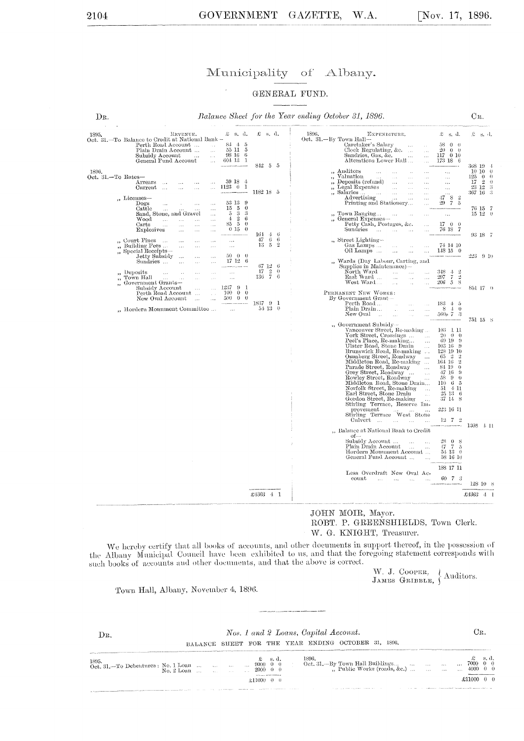DR.

 $C_{R}$ .

## Municipality of Albany.

### GENERAL FUND.

#### Balance Sheet for the Year ending October 31, 1896.

| 1895.                       | REVENUE.<br>Ŀ<br>s. d.<br>Oct. 31.—To Balance to Credit at National Bank —                                                                                                                                           | $\mathcal{L}$ s. d.          |          | 1896.<br>EXPENDITURE.<br>Oct. 31.-By Town Hall-                                                                                                                                                                                                                                                                                                                                                                                                                                                                                                                                                                                                                                                                                                                                                                                                                                                                              | Ŀ<br>-s. d.                                                                                                                                                                                                                                                                    | $\mathfrak{L}$ s.d.                                                                               |
|-----------------------------|----------------------------------------------------------------------------------------------------------------------------------------------------------------------------------------------------------------------|------------------------------|----------|------------------------------------------------------------------------------------------------------------------------------------------------------------------------------------------------------------------------------------------------------------------------------------------------------------------------------------------------------------------------------------------------------------------------------------------------------------------------------------------------------------------------------------------------------------------------------------------------------------------------------------------------------------------------------------------------------------------------------------------------------------------------------------------------------------------------------------------------------------------------------------------------------------------------------|--------------------------------------------------------------------------------------------------------------------------------------------------------------------------------------------------------------------------------------------------------------------------------|---------------------------------------------------------------------------------------------------|
|                             | 83 4 5<br>Perth Road Account<br>$\sim$ .<br>Plain Drain Account<br>55 11 5<br>$\bar{\mathcal{L}}$<br>98 16 6<br>Subsidy Account<br>$\sim$ $\sim$<br>$\sim$ 100 $\mu$<br>604 13 1<br>General Fund Account<br>$\cdots$ | 842 5 5                      |          | Caretaker's Salary<br>$\cdots$<br>Clock Regulating, &c.<br>$\ldots$<br>Sundries, Gas, &c.<br>$\sim$ .<br>$\sim$<br>Alterations Lower Hall<br>$\ddotsc$                                                                                                                                                                                                                                                                                                                                                                                                                                                                                                                                                                                                                                                                                                                                                                       | 58<br>$0 \quad 0$<br>$20 - 0 = 0$<br>117 0 10<br>173 18 6                                                                                                                                                                                                                      | $368$ 19 $\pm$                                                                                    |
| 1896.<br>Oct. 31.—To Rates— | $5918 +$<br>Arrears<br>$\cdots$<br>.<br>1123 0 1<br>Current<br>$\ddotsc$<br>$\cdots$<br>$\mathbf{r}$                                                                                                                 |                              |          | Auditors<br>$\sim$ $\sim$<br>$\ldots$<br>$\sim$ $\sim$ $\sim$<br>Valuation<br>$\sim$ $\sim$ $\sim$<br>$\sim$<br>$\ddot{\phantom{a}}$<br>$\sim$ $\sim$<br>$\sim$ .<br>Deposits (refund)<br>$\sim$<br>$\cdot$<br>$\lambda$ and<br>$\sim$ .<br>Legal Expenses<br>$\sim 100$<br>$\overline{\mathbf{r}}$<br>$\sim$<br>$\sim$                                                                                                                                                                                                                                                                                                                                                                                                                                                                                                                                                                                                      | $\ldots$<br>$\sim$ .<br>$\sim$<br>$\ddotsc$                                                                                                                                                                                                                                    | 10100<br>125000<br>$17 - 2 = 0$<br>23 12 3                                                        |
|                             | " Licenses-<br>53 13 9<br>Dogs<br>$\ldots$                                                                                                                                                                           | 1182 18 5                    |          | Salaries<br>$\bar{\mathcal{A}}$<br>$\sim$ .<br>$\mathbf{r}$<br>$\ddot{\phantom{0}}$<br>Advertising<br>$\cdots$<br>$\cdots$<br>$\sim$<br>Printing and Stationery<br>$\ddotsc$                                                                                                                                                                                                                                                                                                                                                                                                                                                                                                                                                                                                                                                                                                                                                 | 8<br>47.<br>7 <sub>5</sub><br>29                                                                                                                                                                                                                                               | 367 16 3<br>-2                                                                                    |
|                             | $15\quad 5$<br>$\theta$<br>Cattle<br>$\ddotsc$<br>$\begin{smallmatrix}5&3\\4&2\end{smallmatrix}$<br>-3<br>Sand, Stone, and Gravel<br>$\cdots$<br>-6<br>Wood<br>$\sim$ . $\sim$<br>$\bar{\nu}$ .<br>.<br>$\sim$       |                              |          | ", Town Ranging<br>General Expenses-                                                                                                                                                                                                                                                                                                                                                                                                                                                                                                                                                                                                                                                                                                                                                                                                                                                                                         | $\cdots$                                                                                                                                                                                                                                                                       | 76 15 7<br>15120                                                                                  |
|                             | 85 5 0<br>Carts<br>$\ldots$<br><br>$\sim$<br>$\cdots$<br>0150<br>Explosives<br>$\ldots$<br>$\mathbf{r}$<br>$\ldots$                                                                                                  | $164 + 6$                    |          | Petty Cash, Postages, &c.<br>Sundries<br>$\sim$<br>$\sim$                                                                                                                                                                                                                                                                                                                                                                                                                                                                                                                                                                                                                                                                                                                                                                                                                                                                    | 1700<br>76 18 7                                                                                                                                                                                                                                                                | 93 18 7                                                                                           |
| ,,                          | Court Fines<br>$\ddotsc$<br>$\cdots$<br>$\ldots$<br>$\cdots$<br>Building Fees<br>$\ldots$<br>$\ldots$<br>$\cdots$<br>$\ldots$<br>" Special Receipts-<br>$50 \t 0 \t 0$                                               | 4766<br>$13 \quad 5 \quad 2$ |          | "Street Lighting-<br>Gas Lamps<br>$\cdots$<br>$\bar{\mathbf{r}}$<br>Oil Lamps<br>$\sim$<br>$\ldots$<br>$\ddotsc$                                                                                                                                                                                                                                                                                                                                                                                                                                                                                                                                                                                                                                                                                                                                                                                                             | 74 14 10<br>$1.48$ 15 0                                                                                                                                                                                                                                                        |                                                                                                   |
|                             | Jetty Subsidy<br>$\ddotsc$<br>$\ddotsc$<br>$\cdots$<br>$17 \; 12 \; 6$<br>Sundries<br>$\cdots$<br>$\cdots$<br>$\mathbf{r}$<br>" Deposits<br>$\mathbf{r}$<br>$\sim$<br>$\sim$<br>$\sim$<br>$\sim$ $\sim$              | 67 12 6<br>$17 - 2$          | $\theta$ | " Wards (Day Labour, Carting, and<br>Supplies in Maintenance)-<br>North Ward<br>$\sim 100$<br>$\sim$                                                                                                                                                                                                                                                                                                                                                                                                                                                                                                                                                                                                                                                                                                                                                                                                                         | $348\ \ 4\ \ 2$                                                                                                                                                                                                                                                                | 223 9 10                                                                                          |
| $\ddot{\phantom{a}}$        | Town Hall<br>$\sim$ $\sim$<br>$\bar{\nu}$ .<br>$\sim$ .<br>Government Grants-<br>1237<br>9 <sub>1</sub><br>Subsidy Account<br>$\ldots$ .                                                                             | 136 7 6                      |          | East Ward<br>$\sim$<br>$\sim$ .<br>$\mathbf{r}$<br>West Ward<br>$\sim$<br>$\sim$                                                                                                                                                                                                                                                                                                                                                                                                                                                                                                                                                                                                                                                                                                                                                                                                                                             | 297 7<br>$206\quad 5\quad 8$                                                                                                                                                                                                                                                   | $\cdot$ <sub>2</sub><br>851 17 0                                                                  |
|                             | $0 \quad 0$<br>100<br>Perth Road Account<br>$\sim$ $\sim$<br>$500 \t 0 \t 0$<br>New Oval Account<br>$\sim 100$<br>$\ldots$                                                                                           | 1837 9 1                     |          | PERMANENT NEW WORKS:<br>By Government Grant-<br>Perth Road<br>$\sim$ 10 $\mu$<br>$\bar{L}_{\rm{max}}$                                                                                                                                                                                                                                                                                                                                                                                                                                                                                                                                                                                                                                                                                                                                                                                                                        | $183 + 5$                                                                                                                                                                                                                                                                      |                                                                                                   |
|                             | "Hordern Monument Committee<br>$\sim$                                                                                                                                                                                | 51130                        |          | Plain Drain<br><b>Contractor</b><br>$\sim$<br>$\sim$ $\sim$<br>New Oval<br><b>Contract</b><br>$\sim$<br>$\sim$                                                                                                                                                                                                                                                                                                                                                                                                                                                                                                                                                                                                                                                                                                                                                                                                               | $8 + 0$<br>$560*73$                                                                                                                                                                                                                                                            | 751 15 8                                                                                          |
|                             |                                                                                                                                                                                                                      |                              |          | ., Government Subsidy --<br>Vancouver Street, Re-making<br>York Street, Crossings<br>Peel's Place, Re-making<br>$\sim$ . $\sim$<br>Ulster Road, Stone Drain<br>$\sim$<br>Brunswick Road, Be-making<br>Brunswick Road, Re-making<br>Conaberg Street, Roadway<br>Middleton Road, Re-making<br>Parade Street, Roadway<br>Grey Street, Roadway<br>Rowley Street, Roadway<br>$\ldots$<br>Middleton Road, Stone Drain<br>Norfolk Street, Re-making<br>$\sim$ $\sim$ $\sim$<br>Earl Street, Stone Drain<br>$\sim$ . $\sim$<br>Gordon Street, Re-making<br>$\sim$ .<br>Stirling Terrace, Reserve Im-<br>provement<br>$\sim 1000$ km $^{-1}$<br>$\cdots$<br>Stirling Terrace West Stone<br>Culvert<br>$\sim$ 100 $\mu$<br>$\sim$ .<br>,, Balance at National Bank to Credit<br>$0$ f $-$<br>Subsidy Account<br>$\sim 100$ km s $^{-1}$<br>Plain Drain Account<br>Hordern Monument Account<br>General Fund Account<br>$\sim$ 100 $\mu$ | $103 + 11$<br>$20 \t 0 \t 0$<br>69 19 9<br>103 16 9<br>128 19 10<br>$65 - 2$<br>164 16<br>84 19<br>47.16<br>$58 \quad 9$<br>$110\quad 6\quad 5$<br>$51 \; 4 \; 11$<br>$25\,13\,6$<br>37 14 8<br>223 16 11<br>$12 \t 7 \t 2$<br>$28 \t0 \t8$<br>$47 - 7$<br>54 13 0<br>58 16 10 | -2<br>$\overline{2}$<br>$\theta$<br>-9<br>$\left\langle \cdot \right\rangle$<br>$1308 + 11$<br>-5 |
|                             |                                                                                                                                                                                                                      |                              |          | Less Overdraft New Oval Ac-<br>$_{\rm count}$<br>$\Delta\Delta\sim 1$<br>$\sim 10^{-1}$<br>$\sim$<br>$\sim$                                                                                                                                                                                                                                                                                                                                                                                                                                                                                                                                                                                                                                                                                                                                                                                                                  | 188 17 11<br>60 7 3                                                                                                                                                                                                                                                            | 128 10 8                                                                                          |
|                             |                                                                                                                                                                                                                      | £4363 4 1                    |          |                                                                                                                                                                                                                                                                                                                                                                                                                                                                                                                                                                                                                                                                                                                                                                                                                                                                                                                              |                                                                                                                                                                                                                                                                                | £4363 4 1                                                                                         |

### JOHN MOIR, Mayor. ROBT. P. GREENSHIELDS, Town Clerk. W. G. KNIGHT, Treasurer.

We hereby certify that all books of accounts, and other documents in support thereof, in the possession of the Albany Municipal Council have been exhibited to us, and that the foregoing statement corresponds with such books of accounts and other documents, and that the above is correct.

W. J. COOPER,  $\left\{\right.$  Auditors.

Town Hall, Albany, November 4, 1896.

| Dв |                                                     |                                                                                                                                                                                                                               | Nos. 1 and 2 Loans, Capital Account.                                                                                                                                                                                           |                                                                                                                                                                                                                                |                                                                                                                 |  |            |  |
|----|-----------------------------------------------------|-------------------------------------------------------------------------------------------------------------------------------------------------------------------------------------------------------------------------------|--------------------------------------------------------------------------------------------------------------------------------------------------------------------------------------------------------------------------------|--------------------------------------------------------------------------------------------------------------------------------------------------------------------------------------------------------------------------------|-----------------------------------------------------------------------------------------------------------------|--|------------|--|
|    | BALANCE SHEET FOR THE YEAR ENDING OCTOBER 31, 1896. |                                                                                                                                                                                                                               | The constitution of the constitution and constitution of the constitution of the constitution of the constitution of the constitution of the constitution of the constitution of the constitution of the constitution of the c |                                                                                                                                                                                                                                |                                                                                                                 |  |            |  |
|    |                                                     | The first paper and the manufacturing and<br>E11000 0 0                                                                                                                                                                       |                                                                                                                                                                                                                                |                                                                                                                                                                                                                                |                                                                                                                 |  | £11000 0 0 |  |
|    |                                                     | the composite and component the construction of the component of the component of the component of the component of the component of the component of the component of the component of the component of the component of the |                                                                                                                                                                                                                                | the season of the company of the company of the company of the company of the company of the company of the company of the company of the company of the company of the company of the company of the company of the company o | the contract of the contract of the contract of the contract of the contract of the contract of the contract of |  |            |  |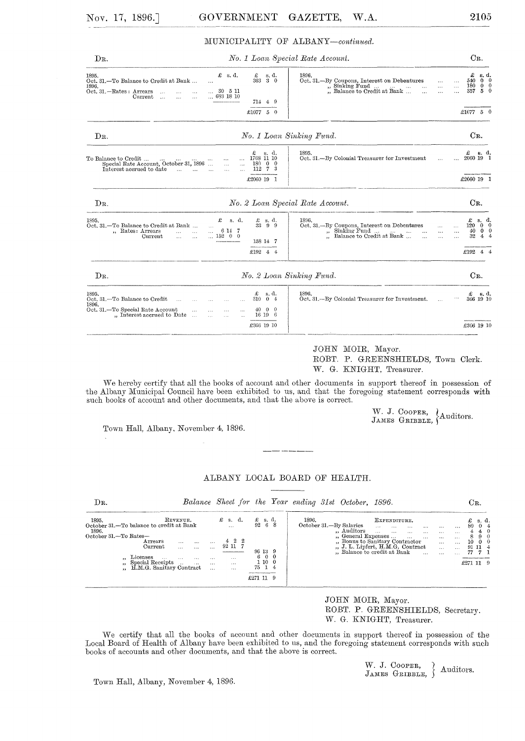|                                                                                                                                    |                                                                                                                                                                                      | Cв.                                                                                                                          |
|------------------------------------------------------------------------------------------------------------------------------------|--------------------------------------------------------------------------------------------------------------------------------------------------------------------------------------|------------------------------------------------------------------------------------------------------------------------------|
| $\pounds$ s.d.<br>£<br>s. d.<br>363 3 0<br>30 5 11<br>$$ 683 18 10<br>714 4 9<br>£1077 5 0                                         | 1896.<br>Oct. 31,-By Coupons, Interest on Debentures<br>$\cdots$<br>,, Sinking Fund $\dots$ $\dots$ $\dots$<br>$\sim$<br>$\ddotsc$<br>", Balance to Credit at Bank<br>$\ddotsc$<br>. | £<br>. s. d.<br>540<br>$0 \quad 0$<br>180<br>$0\quad 0$<br>$\cdots$<br>357<br>$5\quad 0$<br>$\ddotsc$<br>£1077 5 0           |
|                                                                                                                                    |                                                                                                                                                                                      | Cв.                                                                                                                          |
| £<br>s. d.<br>1768 11 10<br>$\cdots$<br>$\cdots$<br>$180 \t 0 \t 0$<br>$\ddotsc$<br>$\cdots$<br>112 7 3<br>$\ddotsc$<br>£2060 19 1 | 1895.<br>Oct. 31.-By Colonial Treasurer for Investment<br>$\cdots$                                                                                                                   | £ s.d.<br>2060 19 1<br>£2060 19 1                                                                                            |
|                                                                                                                                    |                                                                                                                                                                                      | $C_{R.}$                                                                                                                     |
| £<br>s. d.<br>$\pounds$ s.d.<br>33 9 9<br>6 14 7<br>$\dots$ 152 0 0<br>158 14 7<br>£192 $44$                                       | 1896.<br>Oct. 31,-By Coupons, Interest on Debentures<br>$\ddotsc$<br>,, Sinking Fund $\ldots$<br>$\ddotsc$<br>" Balance to Credit at Bank<br>$\mathbf{r}$<br>$\ddotsc$               | s. d.<br>120000<br>40 0 0<br>32 <sub>1</sub><br>44<br>£192<br>44                                                             |
|                                                                                                                                    |                                                                                                                                                                                      | Cв.                                                                                                                          |
| s.d.<br>£<br>310 0 4<br>$\sim$ . $\sim$<br>$\cdots$<br>$40 \t 0 \t 0$<br>$\cdots$<br>$\sim$ $\sim$ $\sim$<br>16 19 6               | 1896.<br>Oct. 31.-By Colonial Treasurer for Investment.<br>$\mathbf{r}$                                                                                                              | £s.d.<br>$\cdots$<br>366 19 10                                                                                               |
|                                                                                                                                    |                                                                                                                                                                                      | No. 1 Loan Special Rate Account.<br>No. 1 Loan Sinking Fund.<br>No. 2 Loan Special Rate Account.<br>No. 2 Loan Sinking Fund. |

ROBT. P. GREENSHIELDS, Town Clerk.

W. G. KNIGHT, Treasurer.

We hereby certify that all the books of account and other documents in support thereof in possession of the Albany Municipal Council have been exhibited to us, and that the foregoing statement corresponds with such books of account and other documents, and that the above is correct.

W. J. COOPER, Auditors.<br>JAMES GRIBBLE, Auditors.

Town Hall, Albany, November 4, 1896.

#### ALBANY LOCAL BOARD OF HEALTH.

| DR.                                                                                                                               |                                                                                                             |                                                       |                                                |     |       | Balance Sheet for the Year ending 31st October, 1896. |                                                                                                                                                                                                                                             |  |                              | ĴВ. |  |
|-----------------------------------------------------------------------------------------------------------------------------------|-------------------------------------------------------------------------------------------------------------|-------------------------------------------------------|------------------------------------------------|-----|-------|-------------------------------------------------------|---------------------------------------------------------------------------------------------------------------------------------------------------------------------------------------------------------------------------------------------|--|------------------------------|-----|--|
| REVENUE.<br>1895.<br>October 31.—To balance to credit at Bank<br>1896.<br>October 31.-To Rates-<br>Arrears<br>Current<br>Licenses | $\begin{array}{ccccccccc}\n &  &  & 4 & 2 & 2 \\  &  &  & 92 & 11 & 7\n\end{array}$<br>$\cdots$<br>$\cdots$ | $\pounds$ s. d. $\pounds$ s. d.<br>92 6 8<br>$\cdots$ | 96 13 9<br>1100<br>75 1 4<br>$\pounds271$ 11 9 | 600 | 1896. |                                                       | EXPENDITURE.<br>"Bonus to Sanitary Contractor<br>$\begin{array}{ccccccccc}\n\ldots & J. L. & Lipfert, H.M.G. & Contract & \ldots & \ldots & 91 11 4 \\ \ldots & Balance to credit at Bank & \ldots & \ldots & \ldots & 77 7 1\n\end{array}$ |  | $\ldots$ 10 0 0<br>£271 11 9 |     |  |

JOHN MOIR, Mayor. ROBT. P. GREENSHIELDS, Secretary. W. G. KNIGHT, Treasurer.

We certify that all the books of account and other documents in support thereof in possession of the Local Board of Health of Albany have been exhibited to us, and the foregoing statement corresponds with such books of accounts and other documents, and that the above is correct.

W. J. COOPER,  $J$  Auditors.<br>JAMES GRIBBLE,  $\}$  Auditors.

Town Hall, Albany, November 4, 1896.